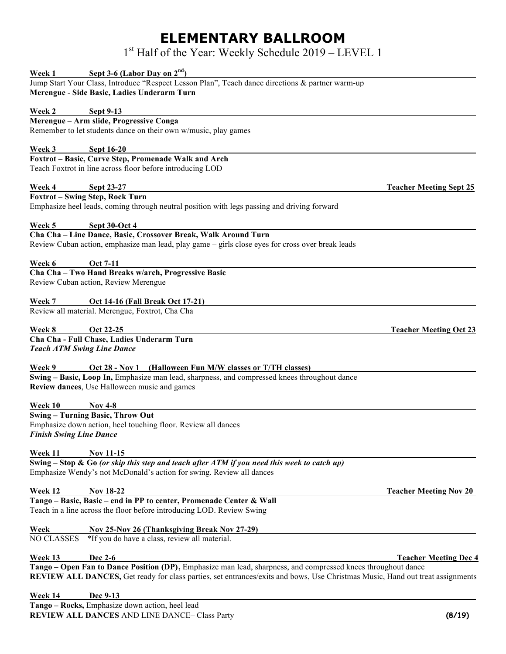## **ELEMENTARY BALLROOM**

1<sup>st</sup> Half of the Year: Weekly Schedule 2019 – LEVEL 1

| Sept 3-6 (Labor Day on $2nd$ )<br>Week 1                                                                                                                                                                                                       |                                |  |
|------------------------------------------------------------------------------------------------------------------------------------------------------------------------------------------------------------------------------------------------|--------------------------------|--|
| Jump Start Your Class, Introduce "Respect Lesson Plan", Teach dance directions & partner warm-up<br>Merengue - Side Basic, Ladies Underarm Turn                                                                                                |                                |  |
| Week 2<br>Sept 9-13                                                                                                                                                                                                                            |                                |  |
| Merengue - Arm slide, Progressive Conga                                                                                                                                                                                                        |                                |  |
| Remember to let students dance on their own w/music, play games                                                                                                                                                                                |                                |  |
| Week 3<br>Sept 16-20                                                                                                                                                                                                                           |                                |  |
| Foxtrot - Basic, Curve Step, Promenade Walk and Arch                                                                                                                                                                                           |                                |  |
| Teach Foxtrot in line across floor before introducing LOD                                                                                                                                                                                      |                                |  |
| Sept 23-27<br>Week 4                                                                                                                                                                                                                           | <b>Teacher Meeting Sept 25</b> |  |
| <b>Foxtrot - Swing Step, Rock Turn</b>                                                                                                                                                                                                         |                                |  |
| Emphasize heel leads, coming through neutral position with legs passing and driving forward                                                                                                                                                    |                                |  |
| Week 5<br>Sept 30-Oct 4                                                                                                                                                                                                                        |                                |  |
| Cha Cha - Line Dance, Basic, Crossover Break, Walk Around Turn                                                                                                                                                                                 |                                |  |
| Review Cuban action, emphasize man lead, play game – girls close eyes for cross over break leads                                                                                                                                               |                                |  |
| Week 6<br><b>Oct 7-11</b>                                                                                                                                                                                                                      |                                |  |
| Cha Cha - Two Hand Breaks w/arch, Progressive Basic                                                                                                                                                                                            |                                |  |
| Review Cuban action, Review Merengue                                                                                                                                                                                                           |                                |  |
| <b>Oct 14-16 (Fall Break Oct 17-21)</b><br>Week 7                                                                                                                                                                                              |                                |  |
| Review all material. Merengue, Foxtrot, Cha Cha                                                                                                                                                                                                |                                |  |
| Oct 22-25<br>Week 8                                                                                                                                                                                                                            | <b>Teacher Meeting Oct 23</b>  |  |
| Cha Cha - Full Chase, Ladies Underarm Turn                                                                                                                                                                                                     |                                |  |
| <b>Teach ATM Swing Line Dance</b>                                                                                                                                                                                                              |                                |  |
| Oct 28 - Nov 1 (Halloween Fun M/W classes or T/TH classes)<br><b>Week 9</b>                                                                                                                                                                    |                                |  |
| Swing - Basic, Loop In, Emphasize man lead, sharpness, and compressed knees throughout dance                                                                                                                                                   |                                |  |
| Review dances, Use Halloween music and games                                                                                                                                                                                                   |                                |  |
| <b>Week 10</b><br><b>Nov 4-8</b>                                                                                                                                                                                                               |                                |  |
| <b>Swing - Turning Basic, Throw Out</b>                                                                                                                                                                                                        |                                |  |
| Emphasize down action, heel touching floor. Review all dances                                                                                                                                                                                  |                                |  |
| <b>Finish Swing Line Dance</b>                                                                                                                                                                                                                 |                                |  |
| Week 11<br><b>Nov 11-15</b>                                                                                                                                                                                                                    |                                |  |
| Swing – Stop & Go (or skip this step and teach after ATM if you need this week to catch up)<br>Emphasize Wendy's not McDonald's action for swing. Review all dances                                                                            |                                |  |
| <b>Week 12</b><br><b>Nov 18-22</b>                                                                                                                                                                                                             | <b>Teacher Meeting Nov 20</b>  |  |
| Tango - Basic, Basic - end in PP to center, Promenade Center & Wall                                                                                                                                                                            |                                |  |
| Teach in a line across the floor before introducing LOD. Review Swing                                                                                                                                                                          |                                |  |
| <b>Nov 25-Nov 26 (Thanksgiving Break Nov 27-29)</b><br><b>Week</b>                                                                                                                                                                             |                                |  |
| <b>NO CLASSES</b><br>*If you do have a class, review all material.                                                                                                                                                                             |                                |  |
| Dec 2-6<br>Week 13                                                                                                                                                                                                                             | <b>Teacher Meeting Dec 4</b>   |  |
| Tango - Open Fan to Dance Position (DP), Emphasize man lead, sharpness, and compressed knees throughout dance<br>REVIEW ALL DANCES, Get ready for class parties, set entrances/exits and bows, Use Christmas Music, Hand out treat assignments |                                |  |
|                                                                                                                                                                                                                                                |                                |  |
| Dec 9-13<br>Week 14                                                                                                                                                                                                                            |                                |  |